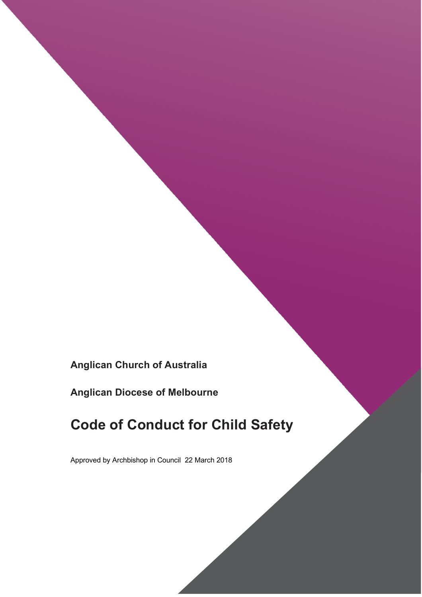**Anglican Church of Australia**

**Anglican Diocese of Melbourne**

# **Code of Conduct for Child Safety**

Approved by Archbishop in Council 22 March 2018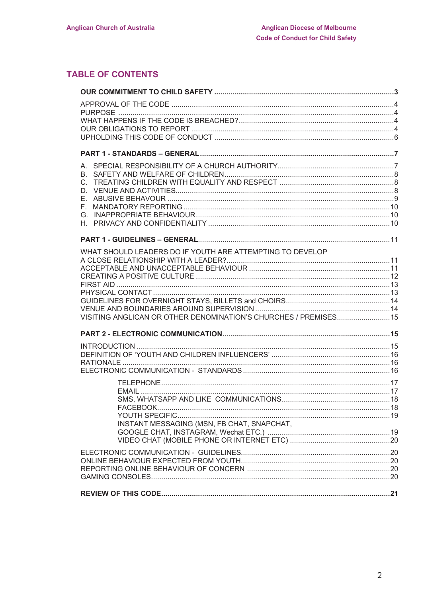## **TABLE OF CONTENTS**

| В.<br>C.                                                         |  |
|------------------------------------------------------------------|--|
|                                                                  |  |
|                                                                  |  |
|                                                                  |  |
|                                                                  |  |
|                                                                  |  |
|                                                                  |  |
| WHAT SHOULD LEADERS DO IF YOUTH ARE ATTEMPTING TO DEVELOP        |  |
|                                                                  |  |
|                                                                  |  |
|                                                                  |  |
|                                                                  |  |
|                                                                  |  |
| VISITING ANGLICAN OR OTHER DENOMINATION'S CHURCHES / PREMISES 15 |  |
|                                                                  |  |
|                                                                  |  |
|                                                                  |  |
|                                                                  |  |
|                                                                  |  |
|                                                                  |  |
|                                                                  |  |
|                                                                  |  |
|                                                                  |  |
|                                                                  |  |
| INSTANT MESSAGING (MSN, FB CHAT, SNAPCHAT,                       |  |
|                                                                  |  |
|                                                                  |  |
|                                                                  |  |
|                                                                  |  |
|                                                                  |  |
|                                                                  |  |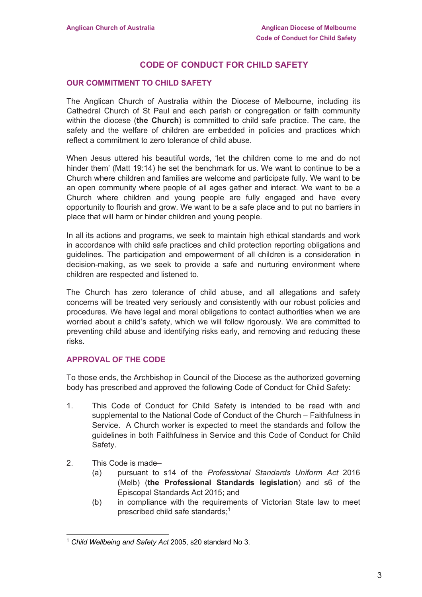## **CODE OF CONDUCT FOR CHILD SAFETY**

#### **OUR COMMITMENT TO CHILD SAFETY**

The Anglican Church of Australia within the Diocese of Melbourne, including its Cathedral Church of St Paul and each parish or congregation or faith community within the diocese (**the Church**) is committed to child safe practice. The care, the safety and the welfare of children are embedded in policies and practices which reflect a commitment to zero tolerance of child abuse.

When Jesus uttered his beautiful words, 'let the children come to me and do not hinder them' (Matt 19:14) he set the benchmark for us. We want to continue to be a Church where children and families are welcome and participate fully. We want to be an open community where people of all ages gather and interact. We want to be a Church where children and young people are fully engaged and have every opportunity to flourish and grow. We want to be a safe place and to put no barriers in place that will harm or hinder children and young people.

In all its actions and programs, we seek to maintain high ethical standards and work in accordance with child safe practices and child protection reporting obligations and guidelines. The participation and empowerment of all children is a consideration in decision-making, as we seek to provide a safe and nurturing environment where children are respected and listened to.

The Church has zero tolerance of child abuse, and all allegations and safety concerns will be treated very seriously and consistently with our robust policies and procedures. We have legal and moral obligations to contact authorities when we are worried about a child's safety, which we will follow rigorously. We are committed to preventing child abuse and identifying risks early, and removing and reducing these risks.

## **APPROVAL OF THE CODE**

To those ends, the Archbishop in Council of the Diocese as the authorized governing body has prescribed and approved the following Code of Conduct for Child Safety:

- 1. This Code of Conduct for Child Safety is intended to be read with and supplemental to the National Code of Conduct of the Church – Faithfulness in Service. A Church worker is expected to meet the standards and follow the guidelines in both Faithfulness in Service and this Code of Conduct for Child Safety.
- 2. This Code is made–

- (a) pursuant to s14 of the *Professional Standards Uniform Act* 2016 (Melb) (**the Professional Standards legislation**) and s6 of the Episcopal Standards Act 2015; and
- (b) in compliance with the requirements of Victorian State law to meet prescribed child safe standards; $1$

<sup>1</sup> *Child Wellbeing and Safety Act* 2005, s20 standard No 3.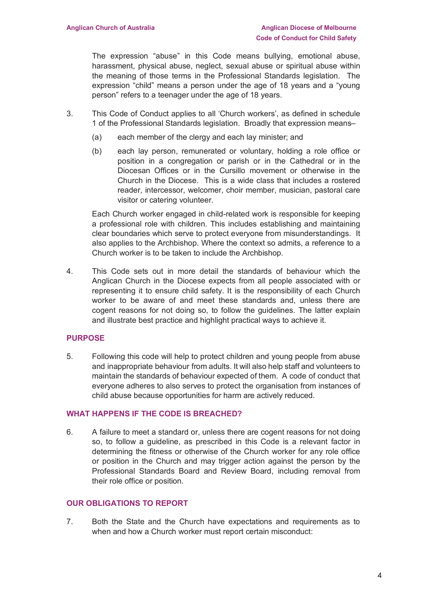The expression "abuse" in this Code means bullying, emotional abuse, harassment, physical abuse, neglect, sexual abuse or spiritual abuse within the meaning of those terms in the Professional Standards legislation. The expression "child" means a person under the age of 18 years and a "young person" refers to a teenager under the age of 18 years.

- 3. This Code of Conduct applies to all 'Church workers', as defined in schedule 1 of the Professional Standards legislation. Broadly that expression means–
	- (a) each member of the clergy and each lay minister; and
	- (b) each lay person, remunerated or voluntary, holding a role office or position in a congregation or parish or in the Cathedral or in the Diocesan Offices or in the Cursillo movement or otherwise in the Church in the Diocese. This is a wide class that includes a rostered reader, intercessor, welcomer, choir member, musician, pastoral care visitor or catering volunteer.

Each Church worker engaged in child-related work is responsible for keeping a professional role with children. This includes establishing and maintaining clear boundaries which serve to protect everyone from misunderstandings. It also applies to the Archbishop. Where the context so admits, a reference to a Church worker is to be taken to include the Archbishop.

4. This Code sets out in more detail the standards of behaviour which the Anglican Church in the Diocese expects from all people associated with or representing it to ensure child safety. It is the responsibility of each Church worker to be aware of and meet these standards and, unless there are cogent reasons for not doing so, to follow the guidelines. The latter explain and illustrate best practice and highlight practical ways to achieve it.

## **PURPOSE**

5. Following this code will help to protect children and young people from abuse and inappropriate behaviour from adults. It will also help staff and volunteers to maintain the standards of behaviour expected of them. A code of conduct that everyone adheres to also serves to protect the organisation from instances of child abuse because opportunities for harm are actively reduced.

## **WHAT HAPPENS IF THE CODE IS BREACHED?**

6. A failure to meet a standard or, unless there are cogent reasons for not doing so, to follow a guideline, as prescribed in this Code is a relevant factor in determining the fitness or otherwise of the Church worker for any role office or position in the Church and may trigger action against the person by the Professional Standards Board and Review Board, including removal from their role office or position.

## **OUR OBLIGATIONS TO REPORT**

7. Both the State and the Church have expectations and requirements as to when and how a Church worker must report certain misconduct: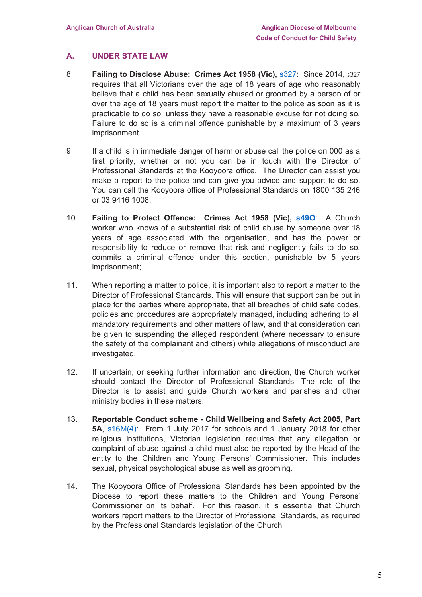## **A. UNDER STATE LAW**

- 8. **Failing to Disclose Abuse**: **Crimes Act 1958 (Vic),** s327: Since 2014, s327 requires that all Victorians over the age of 18 years of age who reasonably believe that a child has been sexually abused or groomed by a person of or over the age of 18 years must report the matter to the police as soon as it is practicable to do so, unless they have a reasonable excuse for not doing so. Failure to do so is a criminal offence punishable by a maximum of 3 years imprisonment.
- 9. If a child is in immediate danger of harm or abuse call the police on 000 as a first priority, whether or not you can be in touch with the Director of Professional Standards at the Kooyoora office. The Director can assist you make a report to the police and can give you advice and support to do so. You can call the Kooyoora office of Professional Standards on 1800 135 246 or 03 9416 1008.
- 10. **Failing to Protect Offence: Crimes Act 1958 (Vic), s49O**: A Church worker who knows of a substantial risk of child abuse by someone over 18 years of age associated with the organisation, and has the power or responsibility to reduce or remove that risk and negligently fails to do so, commits a criminal offence under this section, punishable by 5 years imprisonment;
- 11. When reporting a matter to police, it is important also to report a matter to the Director of Professional Standards. This will ensure that support can be put in place for the parties where appropriate, that all breaches of child safe codes, policies and procedures are appropriately managed, including adhering to all mandatory requirements and other matters of law, and that consideration can be given to suspending the alleged respondent (where necessary to ensure the safety of the complainant and others) while allegations of misconduct are investigated.
- 12. If uncertain, or seeking further information and direction, the Church worker should contact the Director of Professional Standards. The role of the Director is to assist and guide Church workers and parishes and other ministry bodies in these matters.
- 13. **Reportable Conduct scheme - Child Wellbeing and Safety Act 2005, Part 5A**, s16M(4): From 1 July 2017 for schools and 1 January 2018 for other religious institutions, Victorian legislation requires that any allegation or complaint of abuse against a child must also be reported by the Head of the entity to the Children and Young Persons' Commissioner. This includes sexual, physical psychological abuse as well as grooming.
- 14. The Kooyoora Office of Professional Standards has been appointed by the Diocese to report these matters to the Children and Young Persons' Commissioner on its behalf. For this reason, it is essential that Church workers report matters to the Director of Professional Standards, as required by the Professional Standards legislation of the Church.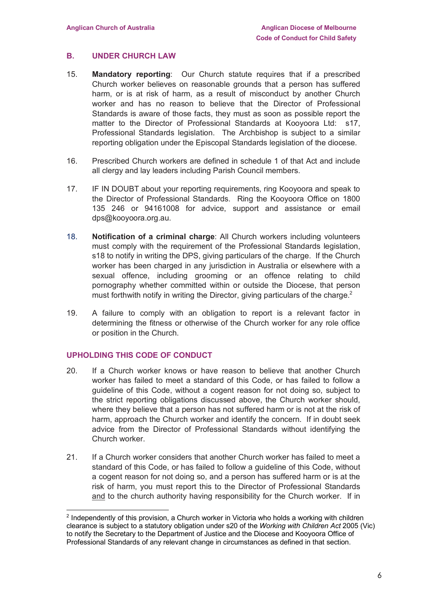## **B. UNDER CHURCH LAW**

- 15. **Mandatory reporting**: Our Church statute requires that if a prescribed Church worker believes on reasonable grounds that a person has suffered harm, or is at risk of harm, as a result of misconduct by another Church worker and has no reason to believe that the Director of Professional Standards is aware of those facts, they must as soon as possible report the matter to the Director of Professional Standards at Kooyoora Ltd: s17, Professional Standards legislation. The Archbishop is subject to a similar reporting obligation under the Episcopal Standards legislation of the diocese.
- 16. Prescribed Church workers are defined in schedule 1 of that Act and include all clergy and lay leaders including Parish Council members.
- 17. IF IN DOUBT about your reporting requirements, ring Kooyoora and speak to the Director of Professional Standards. Ring the Kooyoora Office on 1800 135 246 or 94161008 for advice, support and assistance or email dps@kooyoora.org.au.
- 18. **Notification of a criminal charge**: All Church workers including volunteers must comply with the requirement of the Professional Standards legislation, s18 to notify in writing the DPS, giving particulars of the charge. If the Church worker has been charged in any jurisdiction in Australia or elsewhere with a sexual offence, including grooming or an offence relating to child pornography whether committed within or outside the Diocese, that person must forthwith notify in writing the Director, giving particulars of the charge. $2$
- 19. A failure to comply with an obligation to report is a relevant factor in determining the fitness or otherwise of the Church worker for any role office or position in the Church.

## **UPHOLDING THIS CODE OF CONDUCT**

 $\overline{a}$ 

- 20. If a Church worker knows or have reason to believe that another Church worker has failed to meet a standard of this Code, or has failed to follow a guideline of this Code, without a cogent reason for not doing so, subject to the strict reporting obligations discussed above, the Church worker should, where they believe that a person has not suffered harm or is not at the risk of harm, approach the Church worker and identify the concern. If in doubt seek advice from the Director of Professional Standards without identifying the Church worker.
- 21. If a Church worker considers that another Church worker has failed to meet a standard of this Code, or has failed to follow a guideline of this Code, without a cogent reason for not doing so, and a person has suffered harm or is at the risk of harm, you must report this to the Director of Professional Standards and to the church authority having responsibility for the Church worker. If in

<sup>&</sup>lt;sup>2</sup> Independently of this provision, a Church worker in Victoria who holds a working with children clearance is subject to a statutory obligation under s20 of the *Working with Children Act* 2005 (Vic) to notify the Secretary to the Department of Justice and the Diocese and Kooyoora Office of Professional Standards of any relevant change in circumstances as defined in that section.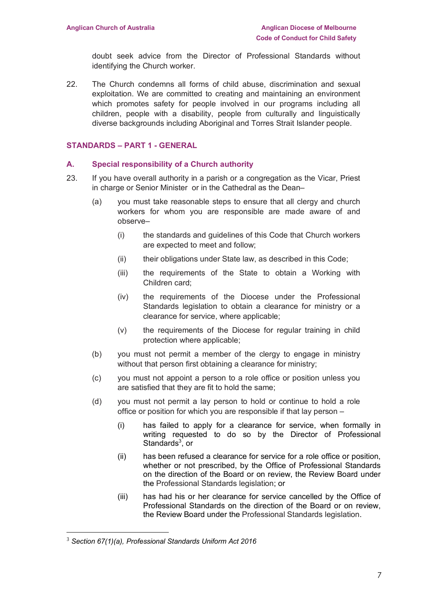doubt seek advice from the Director of Professional Standards without identifying the Church worker.

22. The Church condemns all forms of child abuse, discrimination and sexual exploitation. We are committed to creating and maintaining an environment which promotes safety for people involved in our programs including all children, people with a disability, people from culturally and linguistically diverse backgrounds including Aboriginal and Torres Strait Islander people.

## **STANDARDS – PART 1 - GENERAL**

## **A. Special responsibility of a Church authority**

- 23. If you have overall authority in a parish or a congregation as the Vicar, Priest in charge or Senior Minister or in the Cathedral as the Dean–
	- (a) you must take reasonable steps to ensure that all clergy and church workers for whom you are responsible are made aware of and observe–
		- (i) the standards and guidelines of this Code that Church workers are expected to meet and follow;
		- (ii) their obligations under State law, as described in this Code;
		- (iii) the requirements of the State to obtain a Working with Children card;
		- (iv) the requirements of the Diocese under the Professional Standards legislation to obtain a clearance for ministry or a clearance for service, where applicable;
		- (v) the requirements of the Diocese for regular training in child protection where applicable;
	- (b) you must not permit a member of the clergy to engage in ministry without that person first obtaining a clearance for ministry;
	- (c) you must not appoint a person to a role office or position unless you are satisfied that they are fit to hold the same;
	- (d) you must not permit a lay person to hold or continue to hold a role office or position for which you are responsible if that lay person –
		- (i) has failed to apply for a clearance for service, when formally in writing requested to do so by the Director of Professional Standards<sup>3</sup>, or
		- (ii) has been refused a clearance for service for a role office or position, whether or not prescribed, by the Office of Professional Standards on the direction of the Board or on review, the Review Board under the Professional Standards legislation; or
		- (iii) has had his or her clearance for service cancelled by the Office of Professional Standards on the direction of the Board or on review, the Review Board under the Professional Standards legislation.

 $\overline{a}$ 

<sup>3</sup> *Section 67(1)(a), Professional Standards Uniform Act 2016*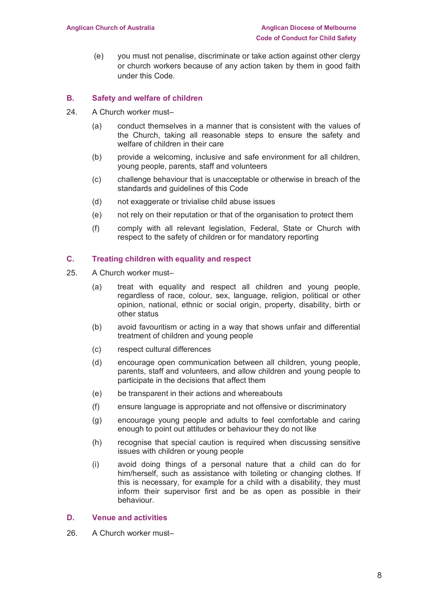(e) you must not penalise, discriminate or take action against other clergy or church workers because of any action taken by them in good faith under this Code.

#### **B. Safety and welfare of children**

- 24. A Church worker must-
	- (a) conduct themselves in a manner that is consistent with the values of the Church, taking all reasonable steps to ensure the safety and welfare of children in their care
	- (b) provide a welcoming, inclusive and safe environment for all children, young people, parents, staff and volunteers
	- (c) challenge behaviour that is unacceptable or otherwise in breach of the standards and guidelines of this Code
	- (d) not exaggerate or trivialise child abuse issues
	- (e) not rely on their reputation or that of the organisation to protect them
	- (f) comply with all relevant legislation, Federal, State or Church with respect to the safety of children or for mandatory reporting

#### **C. Treating children with equality and respect**

- 25. A Church worker must–
	- (a) treat with equality and respect all children and young people, regardless of race, colour, sex, language, religion, political or other opinion, national, ethnic or social origin, property, disability, birth or other status
	- (b) avoid favouritism or acting in a way that shows unfair and differential treatment of children and young people
	- (c) respect cultural differences
	- (d) encourage open communication between all children, young people, parents, staff and volunteers, and allow children and young people to participate in the decisions that affect them
	- (e) be transparent in their actions and whereabouts
	- (f) ensure language is appropriate and not offensive or discriminatory
	- (g) encourage young people and adults to feel comfortable and caring enough to point out attitudes or behaviour they do not like
	- (h) recognise that special caution is required when discussing sensitive issues with children or young people
	- (i) avoid doing things of a personal nature that a child can do for him/herself, such as assistance with toileting or changing clothes. If this is necessary, for example for a child with a disability, they must inform their supervisor first and be as open as possible in their behaviour.

## **D. Venue and activities**

26. A Church worker must–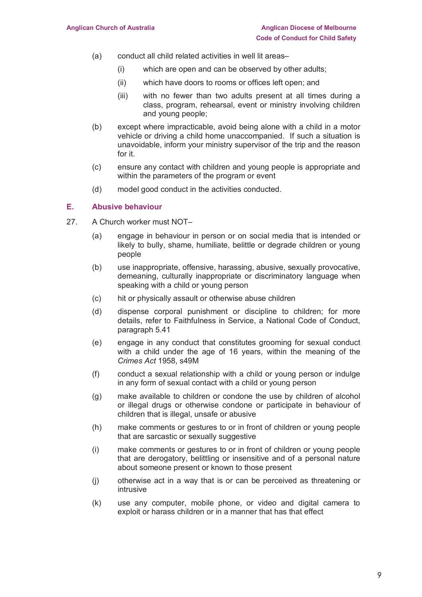- (a) conduct all child related activities in well lit areas–
	- (i) which are open and can be observed by other adults;
	- (ii) which have doors to rooms or offices left open; and
	- (iii) with no fewer than two adults present at all times during a class, program, rehearsal, event or ministry involving children and young people;
- (b) except where impracticable, avoid being alone with a child in a motor vehicle or driving a child home unaccompanied. If such a situation is unavoidable, inform your ministry supervisor of the trip and the reason for it.
- (c) ensure any contact with children and young people is appropriate and within the parameters of the program or event
- (d) model good conduct in the activities conducted.

## **E. Abusive behaviour**

- 27. A Church worker must NOT–
	- (a) engage in behaviour in person or on social media that is intended or likely to bully, shame, humiliate, belittle or degrade children or young people
	- (b) use inappropriate, offensive, harassing, abusive, sexually provocative, demeaning, culturally inappropriate or discriminatory language when speaking with a child or young person
	- (c) hit or physically assault or otherwise abuse children
	- (d) dispense corporal punishment or discipline to children; for more details, refer to Faithfulness in Service, a National Code of Conduct, paragraph 5.41
	- (e) engage in any conduct that constitutes grooming for sexual conduct with a child under the age of 16 years, within the meaning of the *Crimes Act* 1958, s49M
	- (f) conduct a sexual relationship with a child or young person or indulge in any form of sexual contact with a child or young person
	- (g) make available to children or condone the use by children of alcohol or illegal drugs or otherwise condone or participate in behaviour of children that is illegal, unsafe or abusive
	- (h) make comments or gestures to or in front of children or young people that are sarcastic or sexually suggestive
	- (i) make comments or gestures to or in front of children or young people that are derogatory, belittling or insensitive and of a personal nature about someone present or known to those present
	- (j) otherwise act in a way that is or can be perceived as threatening or intrusive
	- (k) use any computer, mobile phone, or video and digital camera to exploit or harass children or in a manner that has that effect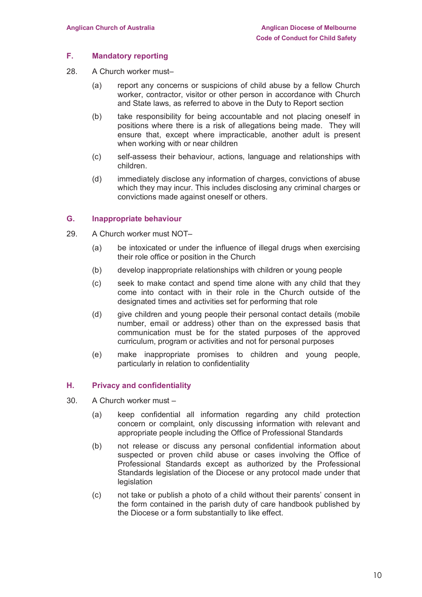#### **F. Mandatory reporting**

- 28. A Church worker must–
	- (a) report any concerns or suspicions of child abuse by a fellow Church worker, contractor, visitor or other person in accordance with Church and State laws, as referred to above in the Duty to Report section
	- (b) take responsibility for being accountable and not placing oneself in positions where there is a risk of allegations being made. They will ensure that, except where impracticable, another adult is present when working with or near children
	- (c) self-assess their behaviour, actions, language and relationships with children.
	- (d) immediately disclose any information of charges, convictions of abuse which they may incur. This includes disclosing any criminal charges or convictions made against oneself or others.

## **G. Inappropriate behaviour**

- 29. A Church worker must NOT–
	- (a) be intoxicated or under the influence of illegal drugs when exercising their role office or position in the Church
	- (b) develop inappropriate relationships with children or young people
	- (c) seek to make contact and spend time alone with any child that they come into contact with in their role in the Church outside of the designated times and activities set for performing that role
	- (d) give children and young people their personal contact details (mobile number, email or address) other than on the expressed basis that communication must be for the stated purposes of the approved curriculum, program or activities and not for personal purposes
	- (e) make inappropriate promises to children and young people, particularly in relation to confidentiality

## **H. Privacy and confidentiality**

- 30. A Church worker must
	- (a) keep confidential all information regarding any child protection concern or complaint, only discussing information with relevant and appropriate people including the Office of Professional Standards
	- (b) not release or discuss any personal confidential information about suspected or proven child abuse or cases involving the Office of Professional Standards except as authorized by the Professional Standards legislation of the Diocese or any protocol made under that legislation
	- (c) not take or publish a photo of a child without their parents' consent in the form contained in the parish duty of care handbook published by the Diocese or a form substantially to like effect.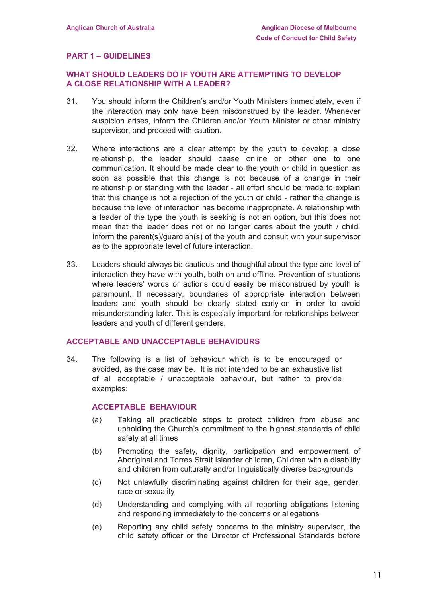## **PART 1 – GUIDELINES**

#### **WHAT SHOULD LEADERS DO IF YOUTH ARE ATTEMPTING TO DEVELOP A CLOSE RELATIONSHIP WITH A LEADER?**

- 31. You should inform the Children's and/or Youth Ministers immediately, even if the interaction may only have been misconstrued by the leader. Whenever suspicion arises, inform the Children and/or Youth Minister or other ministry supervisor, and proceed with caution.
- 32. Where interactions are a clear attempt by the youth to develop a close relationship, the leader should cease online or other one to one communication. It should be made clear to the youth or child in question as soon as possible that this change is not because of a change in their relationship or standing with the leader - all effort should be made to explain that this change is not a rejection of the youth or child - rather the change is because the level of interaction has become inappropriate. A relationship with a leader of the type the youth is seeking is not an option, but this does not mean that the leader does not or no longer cares about the youth / child. Inform the parent(s)/guardian(s) of the youth and consult with your supervisor as to the appropriate level of future interaction.
- 33. Leaders should always be cautious and thoughtful about the type and level of interaction they have with youth, both on and offline. Prevention of situations where leaders' words or actions could easily be misconstrued by youth is paramount. If necessary, boundaries of appropriate interaction between leaders and youth should be clearly stated early-on in order to avoid misunderstanding later. This is especially important for relationships between leaders and youth of different genders.

#### **ACCEPTABLE AND UNACCEPTABLE BEHAVIOURS**

34. The following is a list of behaviour which is to be encouraged or avoided, as the case may be. It is not intended to be an exhaustive list of all acceptable / unacceptable behaviour, but rather to provide examples:

#### **ACCEPTABLE BEHAVIOUR**

- (a) Taking all practicable steps to protect children from abuse and upholding the Church's commitment to the highest standards of child safety at all times
- (b) Promoting the safety, dignity, participation and empowerment of Aboriginal and Torres Strait Islander children, Children with a disability and children from culturally and/or linguistically diverse backgrounds
- (c) Not unlawfully discriminating against children for their age, gender, race or sexuality
- (d) Understanding and complying with all reporting obligations listening and responding immediately to the concerns or allegations
- (e) Reporting any child safety concerns to the ministry supervisor, the child safety officer or the Director of Professional Standards before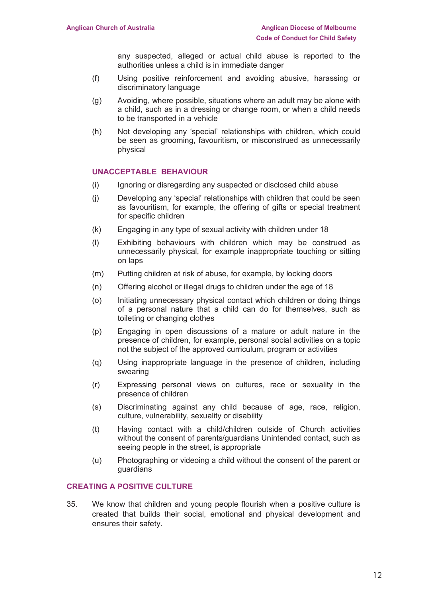any suspected, alleged or actual child abuse is reported to the authorities unless a child is in immediate danger

- (f) Using positive reinforcement and avoiding abusive, harassing or discriminatory language
- (g) Avoiding, where possible, situations where an adult may be alone with a child, such as in a dressing or change room, or when a child needs to be transported in a vehicle
- (h) Not developing any 'special' relationships with children, which could be seen as grooming, favouritism, or misconstrued as unnecessarily physical

#### **UNACCEPTABLE BEHAVIOUR**

- (i) Ignoring or disregarding any suspected or disclosed child abuse
- (j) Developing any 'special' relationships with children that could be seen as favouritism, for example, the offering of gifts or special treatment for specific children
- (k) Engaging in any type of sexual activity with children under 18
- (l) Exhibiting behaviours with children which may be construed as unnecessarily physical, for example inappropriate touching or sitting on laps
- (m) Putting children at risk of abuse, for example, by locking doors
- (n) Offering alcohol or illegal drugs to children under the age of 18
- (o) Initiating unnecessary physical contact which children or doing things of a personal nature that a child can do for themselves, such as toileting or changing clothes
- (p) Engaging in open discussions of a mature or adult nature in the presence of children, for example, personal social activities on a topic not the subject of the approved curriculum, program or activities
- (q) Using inappropriate language in the presence of children, including swearing
- (r) Expressing personal views on cultures, race or sexuality in the presence of children
- (s) Discriminating against any child because of age, race, religion, culture, vulnerability, sexuality or disability
- (t) Having contact with a child/children outside of Church activities without the consent of parents/guardians Unintended contact, such as seeing people in the street, is appropriate
- (u) Photographing or videoing a child without the consent of the parent or guardians

## **CREATING A POSITIVE CULTURE**

35. We know that children and young people flourish when a positive culture is created that builds their social, emotional and physical development and ensures their safety.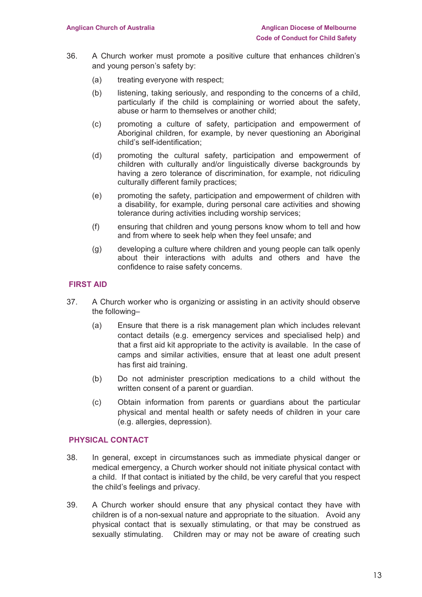- 36. A Church worker must promote a positive culture that enhances children's and young person's safety by:
	- (a) treating everyone with respect;
	- (b) listening, taking seriously, and responding to the concerns of a child, particularly if the child is complaining or worried about the safety, abuse or harm to themselves or another child;
	- (c) promoting a culture of safety, participation and empowerment of Aboriginal children, for example, by never questioning an Aboriginal child's self-identification;
	- (d) promoting the cultural safety, participation and empowerment of children with culturally and/or linguistically diverse backgrounds by having a zero tolerance of discrimination, for example, not ridiculing culturally different family practices;
	- (e) promoting the safety, participation and empowerment of children with a disability, for example, during personal care activities and showing tolerance during activities including worship services;
	- (f) ensuring that children and young persons know whom to tell and how and from where to seek help when they feel unsafe; and
	- (g) developing a culture where children and young people can talk openly about their interactions with adults and others and have the confidence to raise safety concerns.

## **FIRST AID**

- 37. A Church worker who is organizing or assisting in an activity should observe the following–
	- (a) Ensure that there is a risk management plan which includes relevant contact details (e.g. emergency services and specialised help) and that a first aid kit appropriate to the activity is available. In the case of camps and similar activities, ensure that at least one adult present has first aid training.
	- (b) Do not administer prescription medications to a child without the written consent of a parent or guardian.
	- (c) Obtain information from parents or guardians about the particular physical and mental health or safety needs of children in your care (e.g. allergies, depression).

## **PHYSICAL CONTACT**

- 38. In general, except in circumstances such as immediate physical danger or medical emergency, a Church worker should not initiate physical contact with a child. If that contact is initiated by the child, be very careful that you respect the child's feelings and privacy.
- 39. A Church worker should ensure that any physical contact they have with children is of a non-sexual nature and appropriate to the situation. Avoid any physical contact that is sexually stimulating, or that may be construed as sexually stimulating. Children may or may not be aware of creating such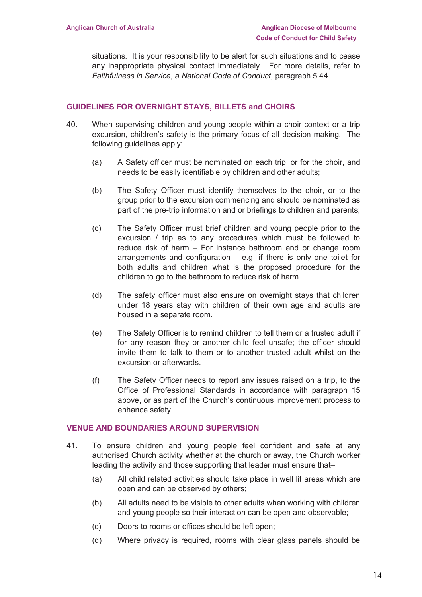situations. It is your responsibility to be alert for such situations and to cease any inappropriate physical contact immediately. For more details, refer to *Faithfulness in Service, a National Code of Conduct*, paragraph 5.44.

## **GUIDELINES FOR OVERNIGHT STAYS, BILLETS and CHOIRS**

- 40. When supervising children and young people within a choir context or a trip excursion, children's safety is the primary focus of all decision making. The following guidelines apply:
	- (a) A Safety officer must be nominated on each trip, or for the choir, and needs to be easily identifiable by children and other adults;
	- (b) The Safety Officer must identify themselves to the choir, or to the group prior to the excursion commencing and should be nominated as part of the pre-trip information and or briefings to children and parents;
	- (c) The Safety Officer must brief children and young people prior to the excursion / trip as to any procedures which must be followed to reduce risk of harm – For instance bathroom and or change room arrangements and configuration  $-$  e.g. if there is only one toilet for both adults and children what is the proposed procedure for the children to go to the bathroom to reduce risk of harm.
	- (d) The safety officer must also ensure on overnight stays that children under 18 years stay with children of their own age and adults are housed in a separate room.
	- (e) The Safety Officer is to remind children to tell them or a trusted adult if for any reason they or another child feel unsafe; the officer should invite them to talk to them or to another trusted adult whilst on the excursion or afterwards.
	- (f) The Safety Officer needs to report any issues raised on a trip, to the Office of Professional Standards in accordance with paragraph 15 above, or as part of the Church's continuous improvement process to enhance safety.

#### **VENUE AND BOUNDARIES AROUND SUPERVISION**

- 41. To ensure children and young people feel confident and safe at any authorised Church activity whether at the church or away, the Church worker leading the activity and those supporting that leader must ensure that–
	- (a) All child related activities should take place in well lit areas which are open and can be observed by others;
	- (b) All adults need to be visible to other adults when working with children and young people so their interaction can be open and observable;
	- (c) Doors to rooms or offices should be left open;
	- (d) Where privacy is required, rooms with clear glass panels should be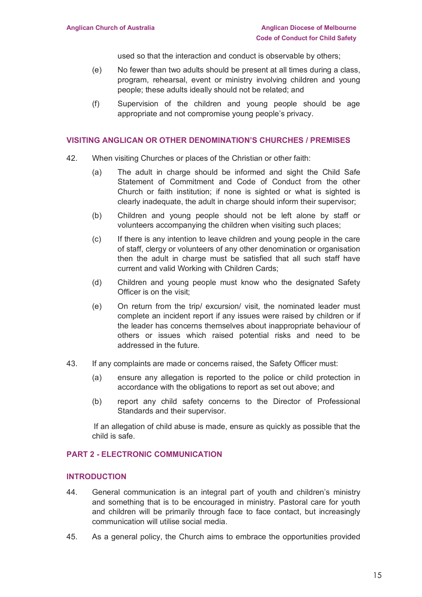used so that the interaction and conduct is observable by others;

- (e) No fewer than two adults should be present at all times during a class, program, rehearsal, event or ministry involving children and young people; these adults ideally should not be related; and
- (f) Supervision of the children and young people should be age appropriate and not compromise young people's privacy.

#### **VISITING ANGLICAN OR OTHER DENOMINATION'S CHURCHES / PREMISES**

- 42. When visiting Churches or places of the Christian or other faith:
	- (a) The adult in charge should be informed and sight the Child Safe Statement of Commitment and Code of Conduct from the other Church or faith institution; if none is sighted or what is sighted is clearly inadequate, the adult in charge should inform their supervisor;
	- (b) Children and young people should not be left alone by staff or volunteers accompanying the children when visiting such places;
	- (c) If there is any intention to leave children and young people in the care of staff, clergy or volunteers of any other denomination or organisation then the adult in charge must be satisfied that all such staff have current and valid Working with Children Cards;
	- (d) Children and young people must know who the designated Safety Officer is on the visit;
	- (e) On return from the trip/ excursion/ visit, the nominated leader must complete an incident report if any issues were raised by children or if the leader has concerns themselves about inappropriate behaviour of others or issues which raised potential risks and need to be addressed in the future.
- 43. If any complaints are made or concerns raised, the Safety Officer must:
	- (a) ensure any allegation is reported to the police or child protection in accordance with the obligations to report as set out above; and
	- (b) report any child safety concerns to the Director of Professional Standards and their supervisor.

If an allegation of child abuse is made, ensure as quickly as possible that the child is safe.

## **PART 2 - ELECTRONIC COMMUNICATION**

#### **INTRODUCTION**

- 44. General communication is an integral part of youth and children's ministry and something that is to be encouraged in ministry. Pastoral care for youth and children will be primarily through face to face contact, but increasingly communication will utilise social media.
- 45. As a general policy, the Church aims to embrace the opportunities provided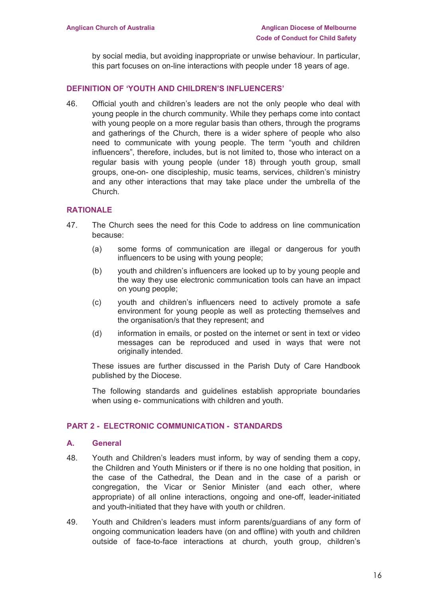by social media, but avoiding inappropriate or unwise behaviour. In particular, this part focuses on on-line interactions with people under 18 years of age.

#### **DEFINITION OF 'YOUTH AND CHILDREN'S INFLUENCERS'**

46. Official youth and children's leaders are not the only people who deal with young people in the church community. While they perhaps come into contact with young people on a more regular basis than others, through the programs and gatherings of the Church, there is a wider sphere of people who also need to communicate with young people. The term "youth and children influencers", therefore, includes, but is not limited to, those who interact on a regular basis with young people (under 18) through youth group, small groups, one-on- one discipleship, music teams, services, children's ministry and any other interactions that may take place under the umbrella of the Church.

#### **RATIONALE**

- 47. The Church sees the need for this Code to address on line communication because:
	- (a) some forms of communication are illegal or dangerous for youth influencers to be using with young people;
	- (b) youth and children's influencers are looked up to by young people and the way they use electronic communication tools can have an impact on young people;
	- (c) youth and children's influencers need to actively promote a safe environment for young people as well as protecting themselves and the organisation/s that they represent; and
	- (d) information in emails, or posted on the internet or sent in text or video messages can be reproduced and used in ways that were not originally intended.

These issues are further discussed in the Parish Duty of Care Handbook published by the Diocese.

The following standards and guidelines establish appropriate boundaries when using e- communications with children and youth.

#### **PART 2 - ELECTRONIC COMMUNICATION - STANDARDS**

#### **A. General**

- 48. Youth and Children's leaders must inform, by way of sending them a copy, the Children and Youth Ministers or if there is no one holding that position, in the case of the Cathedral, the Dean and in the case of a parish or congregation, the Vicar or Senior Minister (and each other, where appropriate) of all online interactions, ongoing and one-off, leader-initiated and youth-initiated that they have with youth or children.
- 49. Youth and Children's leaders must inform parents/guardians of any form of ongoing communication leaders have (on and offline) with youth and children outside of face-to-face interactions at church, youth group, children's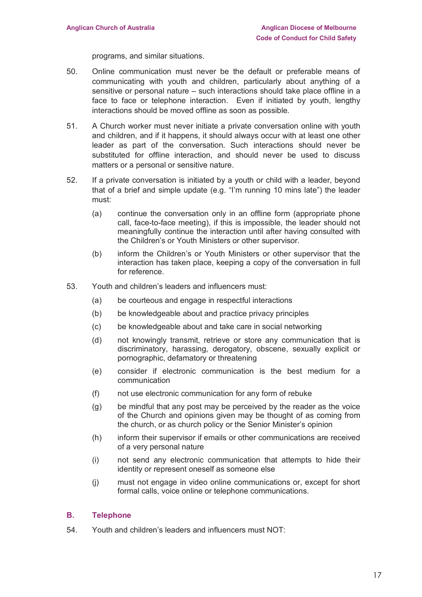programs, and similar situations.

- 50. Online communication must never be the default or preferable means of communicating with youth and children, particularly about anything of a sensitive or personal nature – such interactions should take place offline in a face to face or telephone interaction. Even if initiated by youth, lengthy interactions should be moved offline as soon as possible.
- 51. A Church worker must never initiate a private conversation online with youth and children, and if it happens, it should always occur with at least one other leader as part of the conversation. Such interactions should never be substituted for offline interaction, and should never be used to discuss matters or a personal or sensitive nature.
- 52. If a private conversation is initiated by a youth or child with a leader, beyond that of a brief and simple update (e.g. "I'm running 10 mins late") the leader must:
	- (a) continue the conversation only in an offline form (appropriate phone call, face-to-face meeting), if this is impossible, the leader should not meaningfully continue the interaction until after having consulted with the Children's or Youth Ministers or other supervisor.
	- (b) inform the Children's or Youth Ministers or other supervisor that the interaction has taken place, keeping a copy of the conversation in full for reference.
- 53. Youth and children's leaders and influencers must:
	- (a) be courteous and engage in respectful interactions
	- (b) be knowledgeable about and practice privacy principles
	- (c) be knowledgeable about and take care in social networking
	- (d) not knowingly transmit, retrieve or store any communication that is discriminatory, harassing, derogatory, obscene, sexually explicit or pornographic, defamatory or threatening
	- (e) consider if electronic communication is the best medium for a communication
	- (f) not use electronic communication for any form of rebuke
	- (g) be mindful that any post may be perceived by the reader as the voice of the Church and opinions given may be thought of as coming from the church, or as church policy or the Senior Minister's opinion
	- (h) inform their supervisor if emails or other communications are received of a very personal nature
	- (i) not send any electronic communication that attempts to hide their identity or represent oneself as someone else
	- (j) must not engage in video online communications or, except for short formal calls, voice online or telephone communications.

## **B. Telephone**

54. Youth and children's leaders and influencers must NOT: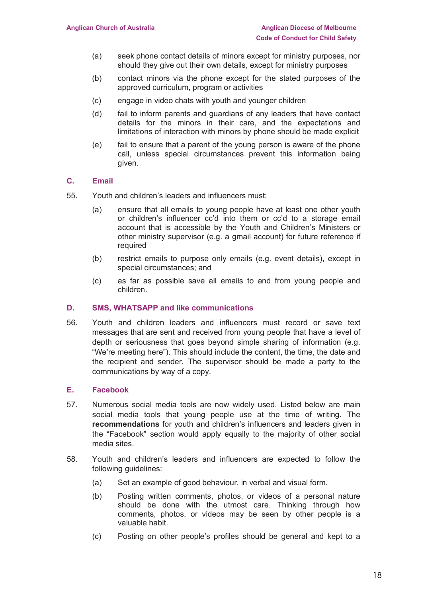- (a) seek phone contact details of minors except for ministry purposes, nor should they give out their own details, except for ministry purposes
- (b) contact minors via the phone except for the stated purposes of the approved curriculum, program or activities
- (c) engage in video chats with youth and younger children
- (d) fail to inform parents and guardians of any leaders that have contact details for the minors in their care, and the expectations and limitations of interaction with minors by phone should be made explicit
- (e) fail to ensure that a parent of the young person is aware of the phone call, unless special circumstances prevent this information being given.

## **C. Email**

- 55. Youth and children's leaders and influencers must:
	- (a) ensure that all emails to young people have at least one other youth or children's influencer cc'd into them or cc'd to a storage email account that is accessible by the Youth and Children's Ministers or other ministry supervisor (e.g. a gmail account) for future reference if required
	- (b) restrict emails to purpose only emails (e.g. event details), except in special circumstances; and
	- (c) as far as possible save all emails to and from young people and children.

#### **D. SMS, WHATSAPP and like communications**

56. Youth and children leaders and influencers must record or save text messages that are sent and received from young people that have a level of depth or seriousness that goes beyond simple sharing of information (e.g. "We're meeting here"). This should include the content, the time, the date and the recipient and sender. The supervisor should be made a party to the communications by way of a copy.

#### **E. Facebook**

- 57. Numerous social media tools are now widely used. Listed below are main social media tools that young people use at the time of writing. The **recommendations** for youth and children's influencers and leaders given in the "Facebook" section would apply equally to the majority of other social media sites.
- 58. Youth and children's leaders and influencers are expected to follow the following guidelines:
	- (a) Set an example of good behaviour, in verbal and visual form.
	- (b) Posting written comments, photos, or videos of a personal nature should be done with the utmost care. Thinking through how comments, photos, or videos may be seen by other people is a valuable habit.
	- (c) Posting on other people's profiles should be general and kept to a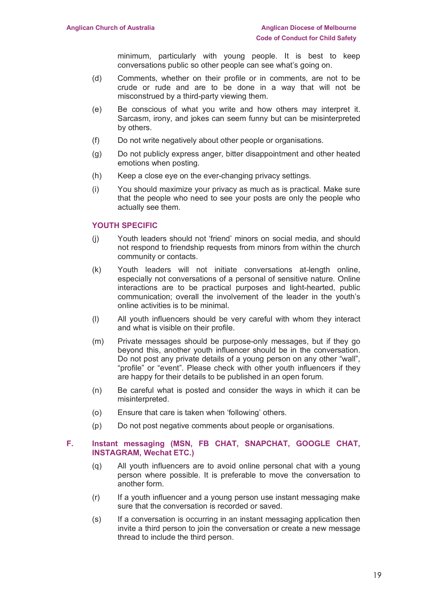minimum, particularly with young people. It is best to keep conversations public so other people can see what's going on.

- (d) Comments, whether on their profile or in comments, are not to be crude or rude and are to be done in a way that will not be misconstrued by a third-party viewing them.
- (e) Be conscious of what you write and how others may interpret it. Sarcasm, irony, and jokes can seem funny but can be misinterpreted by others.
- (f) Do not write negatively about other people or organisations.
- (g) Do not publicly express anger, bitter disappointment and other heated emotions when posting.
- (h) Keep a close eye on the ever-changing privacy settings.
- (i) You should maximize your privacy as much as is practical. Make sure that the people who need to see your posts are only the people who actually see them.

#### **YOUTH SPECIFIC**

- (j) Youth leaders should not 'friend' minors on social media, and should not respond to friendship requests from minors from within the church community or contacts.
- (k) Youth leaders will not initiate conversations at-length online, especially not conversations of a personal of sensitive nature. Online interactions are to be practical purposes and light-hearted, public communication; overall the involvement of the leader in the youth's online activities is to be minimal.
- (l) All youth influencers should be very careful with whom they interact and what is visible on their profile.
- (m) Private messages should be purpose-only messages, but if they go beyond this, another youth influencer should be in the conversation. Do not post any private details of a young person on any other "wall", "profile" or "event". Please check with other youth influencers if they are happy for their details to be published in an open forum.
- (n) Be careful what is posted and consider the ways in which it can be misinterpreted.
- (o) Ensure that care is taken when 'following' others.
- (p) Do not post negative comments about people or organisations.

#### **F. Instant messaging (MSN, FB CHAT, SNAPCHAT, GOOGLE CHAT, INSTAGRAM, Wechat ETC.)**

- (q) All youth influencers are to avoid online personal chat with a young person where possible. It is preferable to move the conversation to another form.
- $(r)$  If a youth influencer and a young person use instant messaging make sure that the conversation is recorded or saved.
- (s) If a conversation is occurring in an instant messaging application then invite a third person to join the conversation or create a new message thread to include the third person.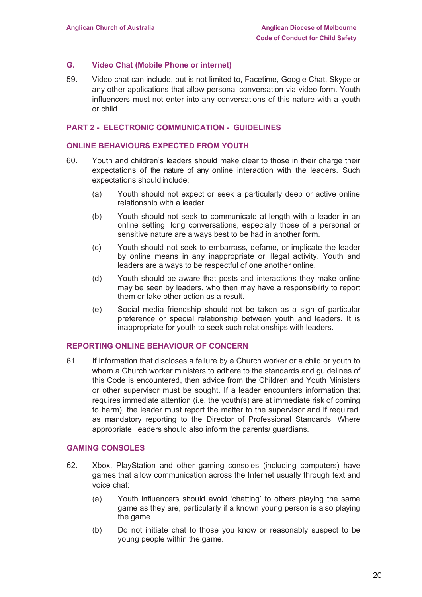#### **G. Video Chat (Mobile Phone or internet)**

59. Video chat can include, but is not limited to, Facetime, Google Chat, Skype or any other applications that allow personal conversation via video form. Youth influencers must not enter into any conversations of this nature with a youth or child.

#### **PART 2 - ELECTRONIC COMMUNICATION - GUIDELINES**

#### **ONLINE BEHAVIOURS EXPECTED FROM YOUTH**

- 60. Youth and children's leaders should make clear to those in their charge their expectations of the nature of any online interaction with the leaders. Such expectations should include:
	- (a) Youth should not expect or seek a particularly deep or active online relationship with a leader.
	- (b) Youth should not seek to communicate at-length with a leader in an online setting: long conversations, especially those of a personal or sensitive nature are always best to be had in another form.
	- (c) Youth should not seek to embarrass, defame, or implicate the leader by online means in any inappropriate or illegal activity. Youth and leaders are always to be respectful of one another online.
	- (d) Youth should be aware that posts and interactions they make online may be seen by leaders, who then may have a responsibility to report them or take other action as a result.
	- (e) Social media friendship should not be taken as a sign of particular preference or special relationship between youth and leaders. It is inappropriate for youth to seek such relationships with leaders.

#### **REPORTING ONLINE BEHAVIOUR OF CONCERN**

61. If information that discloses a failure by a Church worker or a child or youth to whom a Church worker ministers to adhere to the standards and guidelines of this Code is encountered, then advice from the Children and Youth Ministers or other supervisor must be sought. If a leader encounters information that requires immediate attention (i.e. the youth(s) are at immediate risk of coming to harm), the leader must report the matter to the supervisor and if required, as mandatory reporting to the Director of Professional Standards. Where appropriate, leaders should also inform the parents/ guardians.

#### **GAMING CONSOLES**

- 62. Xbox, PlayStation and other gaming consoles (including computers) have games that allow communication across the Internet usually through text and voice chat:
	- (a) Youth influencers should avoid 'chatting' to others playing the same game as they are, particularly if a known young person is also playing the game.
	- (b) Do not initiate chat to those you know or reasonably suspect to be young people within the game.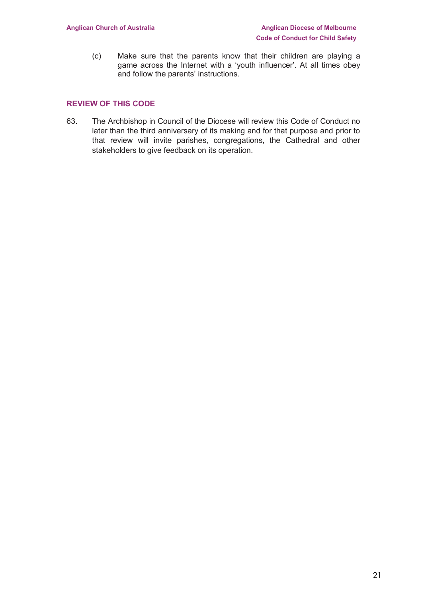(c) Make sure that the parents know that their children are playing a game across the Internet with a 'youth influencer'. At all times obey and follow the parents' instructions.

## **REVIEW OF THIS CODE**

63. The Archbishop in Council of the Diocese will review this Code of Conduct no later than the third anniversary of its making and for that purpose and prior to that review will invite parishes, congregations, the Cathedral and other stakeholders to give feedback on its operation.